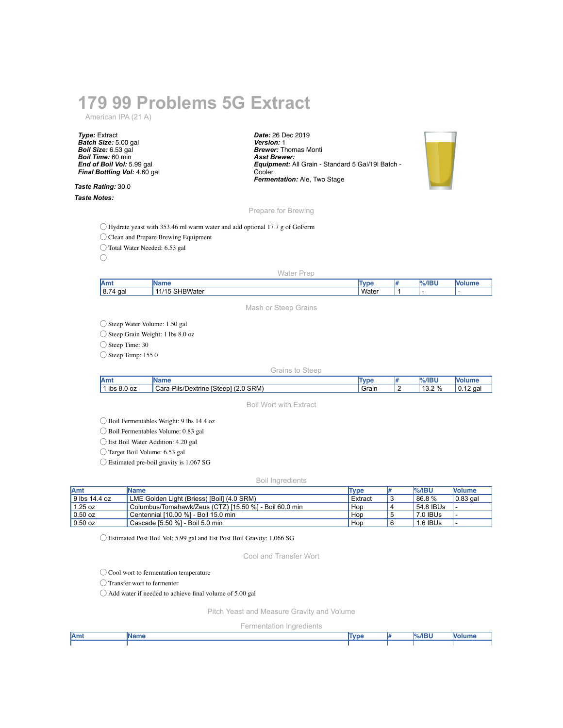# **179 99 Problems 5G Extract**

American IPA (21 A)

*Type:* Extract *Batch Size:* 5.00 gal *Boil Size:* 6.53 gal *Boil Time:* 60 min *End of Boil Vol:* 5.99 gal *Final Bottling Vol:* 4.60 gal

*Taste Rating:* 30.0 *Taste Notes:*

*Date:* 26 Dec 2019 *Version:* 1 *Brewer:* Thomas Monti *Asst Brewer: Equipment:* All Grain - Standard 5 Gal/19l Batch - Cooler *Fermentation:* Ale, Two Stage



Prepare for Brewing

◯ Hydrate yeast with 353.46 ml warm water and add optional 17.7 g of GoFerm

◯ Clean and Prepare Brewing Equipment

◯ Total Water Needed: 6.53 gal

 $\bigcirc$ 

Water Prep

| Amt                  |                                             | <b>und</b> | ADII |     |
|----------------------|---------------------------------------------|------------|------|-----|
| 8.74<br>$\sim$<br>ud | $\sim$<br>$^{\prime}$<br>$\sim$ $Mz$<br>alt | Water      |      | . . |
|                      |                                             |            |      |     |

Mash or Steep Grains

◯ Steep Water Volume: 1.50 gal

◯ Steep Grain Weight: 1 lbs 8.0 oz

◯ Steep Time: 30

◯ Steep Temp: 155.0

#### Grains to Steep

| Amt           | ™am⊾                                                                                                                        | <b>TVDE</b> | $\mathsf{r}/\mathsf{r}/\mathsf{P}$<br>ישו | M<br>סווווויט                                |
|---------------|-----------------------------------------------------------------------------------------------------------------------------|-------------|-------------------------------------------|----------------------------------------------|
| lbs<br>8.0 oz | SRM)<br>-Pils/<br>$\sim$<br>$\overline{1}$<br>$\overline{\phantom{a}}$<br>Cara-<br><b>ISteep</b><br>Jextrine<br>Z.U<br>75.1 | ' Grain     | 13.20%<br>ے.د<br>- 70                     | $\overline{\phantom{a}}$<br>۱ο.<br>`qai<br>- |

Boil Wort with Extract

◯ Boil Fermentables Weight: 9 lbs 14.4 oz

◯ Boil Fermentables Volume: 0.83 gal

◯ Est Boil Water Addition: 4.20 gal

◯ Target Boil Volume: 6.53 gal

◯ Estimated pre-boil gravity is 1.067 SG

### Boil Ingredients

| <b>Amt</b>    | <b>IName</b>                                           | Type    | <b>%/IBU</b> | <b>Nolume</b>    |
|---------------|--------------------------------------------------------|---------|--------------|------------------|
| 9 lbs 14.4 oz | LME Golden Light (Briess) [Boil] (4.0 SRM)             | Extract | 86.8%        | $\vert$ 0.83 gal |
| $1.25$ oz     | Columbus/Tomahawk/Zeus (CTZ) [15.50 %] - Boil 60.0 min | Hop     | 54.8 IBUs    |                  |
| $0.50$ oz     | Centennial [10.00 %] - Boil 15.0 min                   | Hop     | 7.0 IBUs     |                  |
| $0.50$ oz     | Cascade [5.50 %] - Boil 5.0 min                        | Hop     | 1.6 IBUs     |                  |

◯ Estimated Post Boil Vol: 5.99 gal and Est Post Boil Gravity: 1.066 SG

Cool and Transfer Wort

◯ Cool wort to fermentation temperature

◯ Transfer wort to fermenter

◯ Add water if needed to achieve final volume of 5.00 gal

Pitch Yeast and Measure Gravity and Volume

Fermentation Ingredients

| Amt | <b>Name</b> | Type | $%$ /IBU | <b>Nolum</b> |
|-----|-------------|------|----------|--------------|
|     |             |      |          |              |